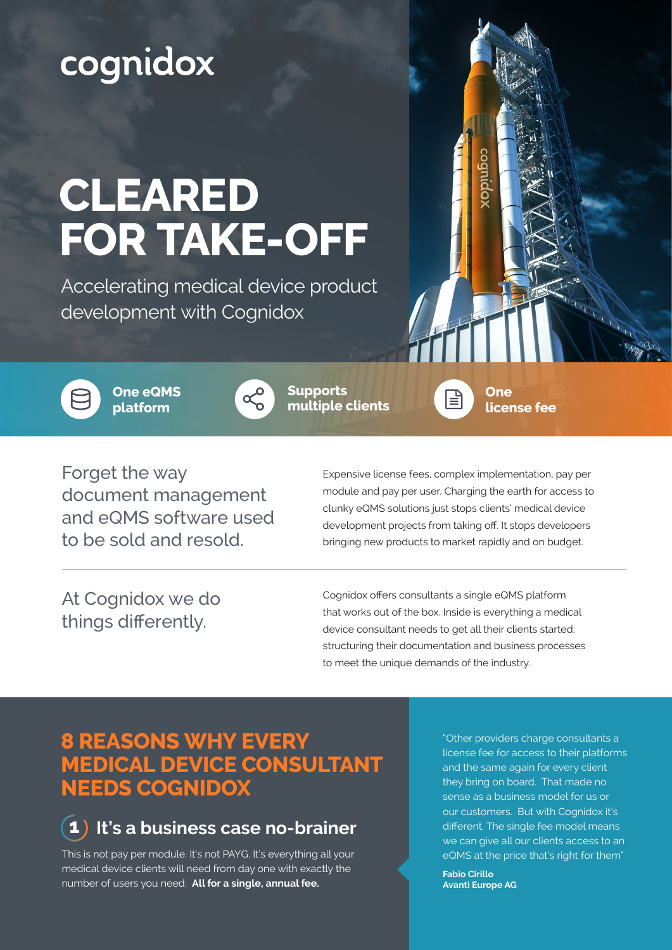# cognidox

# **CLEARED FOR TAKE-OFF**

Accelerating medical device product development with Cognidox



**One eQMS platform**



**Supports multiple clients**

**One license fee**

Forget the way document management and eQMS software used to be sold and resold.

Expensive license fees, complex implementation, pay per module and pay per user. Charging the earth for access to clunky eQMS solutions just stops clients' medical device development projects from taking off. It stops developers bringing new products to market rapidly and on budget.

r≣

At Cognidox we do things differently.

Cognidox offers consultants a single eQMS platform that works out of the box. Inside is everything a medical device consultant needs to get all their clients started; structuring their documentation and business processes to meet the unique demands of the industry.

#### **8 REASONS WHY EVERY MEDICAL DEVICE CONSULTANT NEEDS COGNIDOX**



This is not pay per module. It's not PAYG. It's everything all your medical device clients will need from day one with exactly the number of users you need. **All for a single, annual fee.** 

"Other providers charge consultants a license fee for access to their platforms and the same again for every client they bring on board. That made no sense as a business model for us or our customers. But with Cognidox it's different. The single fee model means we can give all our clients access to an eQMS at the price that's right for them"

**Fabio Cirillo Avanti Europe AG**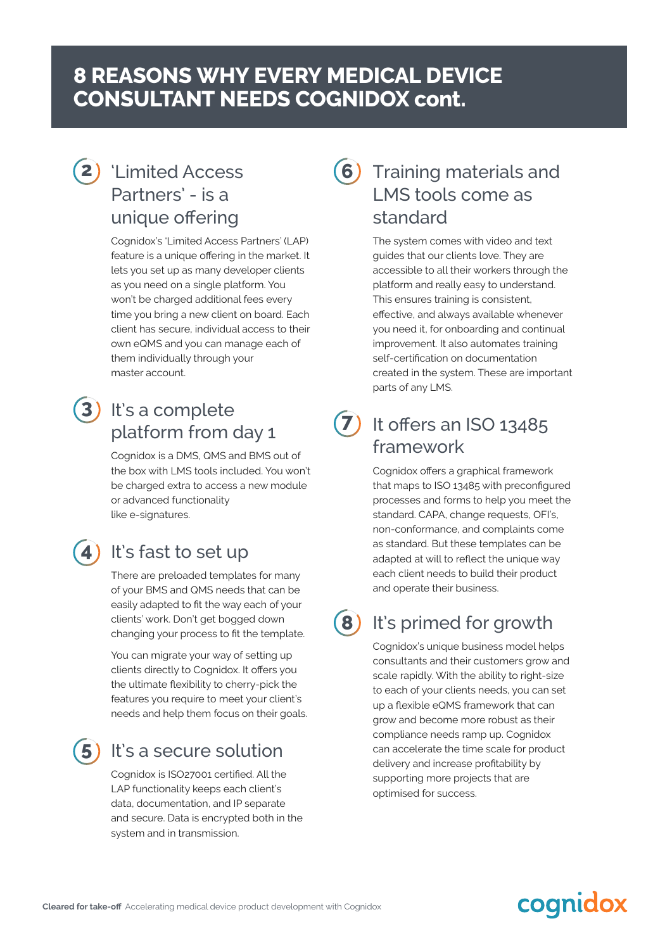#### **8 REASONS WHY EVERY MEDICAL DEVICE CONSULTANT NEEDS COGNIDOX cont.**

#### 'Limited Access **2** Partners' - is a unique offering

Cognidox's 'Limited Access Partners' (LAP) feature is a unique offering in the market. It lets you set up as many developer clients as you need on a single platform. You won't be charged additional fees every time you bring a new client on board. Each client has secure, individual access to their own eQMS and you can manage each of them individually through your master account.

#### It's a complete platform from day 1 **3**

Cognidox is a DMS, QMS and BMS out of the box with LMS tools included. You won't be charged extra to access a new module or advanced functionality like e-signatures.

#### 4) It's fast to set up

There are preloaded templates for many of your BMS and QMS needs that can be easily adapted to fit the way each of your clients' work. Don't get bogged down changing your process to fit the template.

You can migrate your way of setting up clients directly to Cognidox. It offers you the ultimate flexibility to cherry-pick the features you require to meet your client's needs and help them focus on their goals.

### **5**

#### It's a secure solution

Cognidox is ISO27001 certified. All the LAP functionality keeps each client's data, documentation, and IP separate and secure. Data is encrypted both in the system and in transmission.

#### Training materials and LMS tools come as standard **6**

The system comes with video and text guides that our clients love. They are accessible to all their workers through the platform and really easy to understand. This ensures training is consistent, effective, and always available whenever you need it, for onboarding and continual improvement. It also automates training self-certification on documentation created in the system. These are important parts of any LMS.



#### $\overline{7}$  It offers an ISO 13485 framework

Cognidox offers a graphical framework that maps to ISO 13485 with preconfigured processes and forms to help you meet the standard. CAPA, change requests, OFI's, non-conformance, and complaints come as standard. But these templates can be adapted at will to reflect the unique way each client needs to build their product and operate their business.

**8**

#### It's primed for growth

Cognidox's unique business model helps consultants and their customers grow and scale rapidly. With the ability to right-size to each of your clients needs, you can set up a flexible eQMS framework that can grow and become more robust as their compliance needs ramp up. Cognidox can accelerate the time scale for product delivery and increase profitability by supporting more projects that are optimised for success.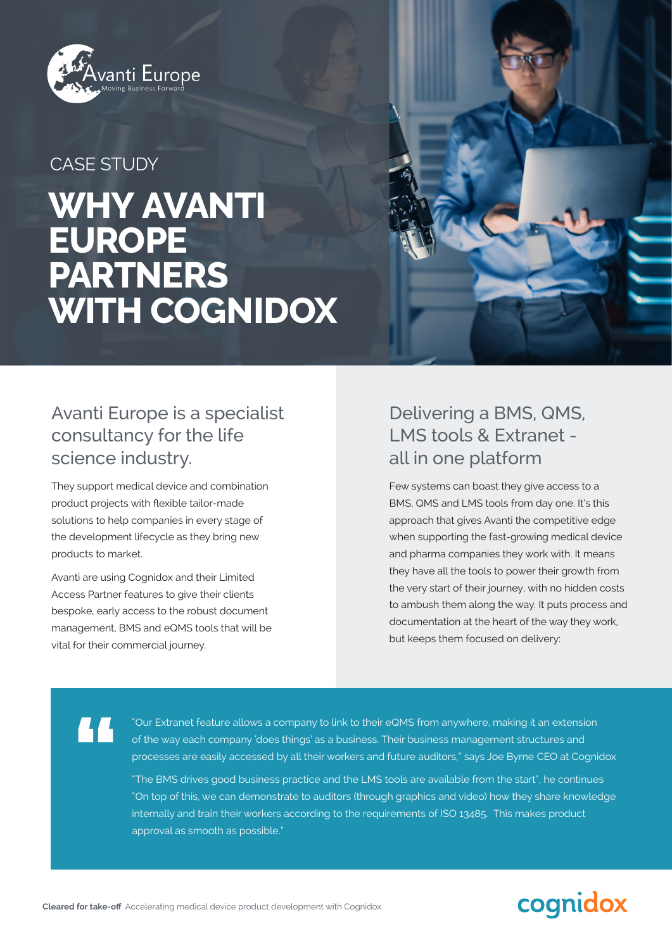

#### CASE STUDY

## **WHY AVANTI EUROPE PARTNERS WITH COGNIDOX**



#### Avanti Europe is a specialist consultancy for the life science industry.

They support medical device and combination product projects with flexible tailor-made solutions to help companies in every stage of the development lifecycle as they bring new products to market.

Avanti are using Cognidox and their Limited Access Partner features to give their clients bespoke, early access to the robust document management, BMS and eQMS tools that will be vital for their commercial journey.

#### Delivering a BMS, QMS, LMS tools & Extranet all in one platform

Few systems can boast they give access to a BMS, QMS and LMS tools from day one. It's this approach that gives Avanti the competitive edge when supporting the fast-growing medical device and pharma companies they work with. It means they have all the tools to power their growth from the very start of their journey, with no hidden costs to ambush them along the way. It puts process and documentation at the heart of the way they work, but keeps them focused on delivery:

**"**

"Our Extranet feature allows a company to link to their eQMS from anywhere, making it an extension of the way each company 'does things' as a business. Their business management structures and processes are easily accessed by all their workers and future auditors," says Joe Byrne CEO at Cognidox

"The BMS drives good business practice and the LMS tools are available from the start", he continues "On top of this, we can demonstrate to auditors (through graphics and video) how they share knowledge internally and train their workers according to the requirements of ISO 13485. This makes product approval as smooth as possible."

## cognidox